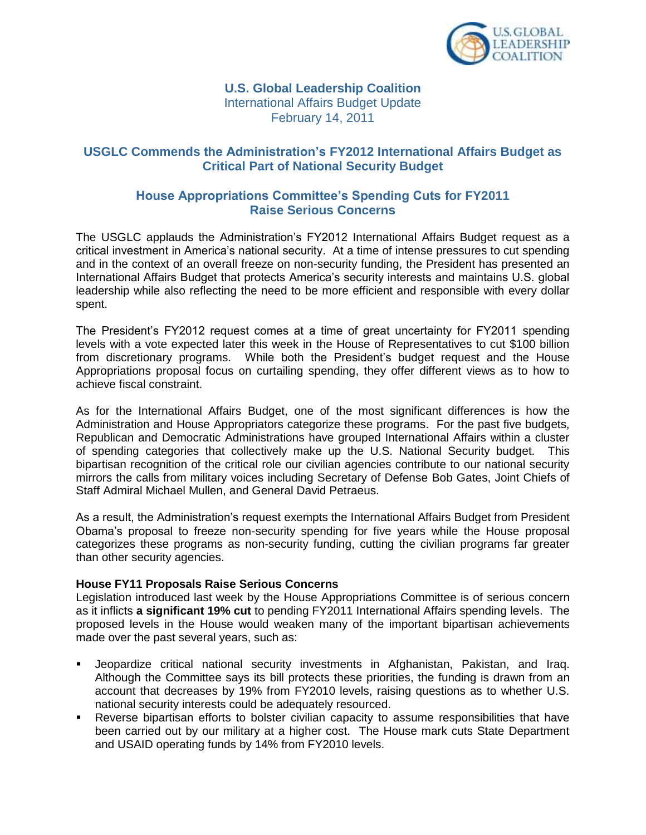

**U.S. Global Leadership Coalition** International Affairs Budget Update February 14, 2011

### **USGLC Commends the Administration's FY2012 International Affairs Budget as Critical Part of National Security Budget**

### **House Appropriations Committee's Spending Cuts for FY2011 Raise Serious Concerns**

The USGLC applauds the Administration's FY2012 International Affairs Budget request as a critical investment in America's national security. At a time of intense pressures to cut spending and in the context of an overall freeze on non-security funding, the President has presented an International Affairs Budget that protects America's security interests and maintains U.S. global leadership while also reflecting the need to be more efficient and responsible with every dollar spent.

The President's FY2012 request comes at a time of great uncertainty for FY2011 spending levels with a vote expected later this week in the House of Representatives to cut \$100 billion from discretionary programs. While both the President's budget request and the House Appropriations proposal focus on curtailing spending, they offer different views as to how to achieve fiscal constraint.

As for the International Affairs Budget, one of the most significant differences is how the Administration and House Appropriators categorize these programs. For the past five budgets, Republican and Democratic Administrations have grouped International Affairs within a cluster of spending categories that collectively make up the U.S. National Security budget. This bipartisan recognition of the critical role our civilian agencies contribute to our national security mirrors the calls from military voices including Secretary of Defense Bob Gates, Joint Chiefs of Staff Admiral Michael Mullen, and General David Petraeus.

As a result, the Administration's request exempts the International Affairs Budget from President Obama's proposal to freeze non-security spending for five years while the House proposal categorizes these programs as non-security funding, cutting the civilian programs far greater than other security agencies.

### **House FY11 Proposals Raise Serious Concerns**

Legislation introduced last week by the House Appropriations Committee is of serious concern as it inflicts **a significant 19% cut** to pending FY2011 International Affairs spending levels. The proposed levels in the House would weaken many of the important bipartisan achievements made over the past several years, such as:

- Jeopardize critical national security investments in Afghanistan, Pakistan, and Iraq. Although the Committee says its bill protects these priorities, the funding is drawn from an account that decreases by 19% from FY2010 levels, raising questions as to whether U.S. national security interests could be adequately resourced.
- Reverse bipartisan efforts to bolster civilian capacity to assume responsibilities that have been carried out by our military at a higher cost. The House mark cuts State Department and USAID operating funds by 14% from FY2010 levels.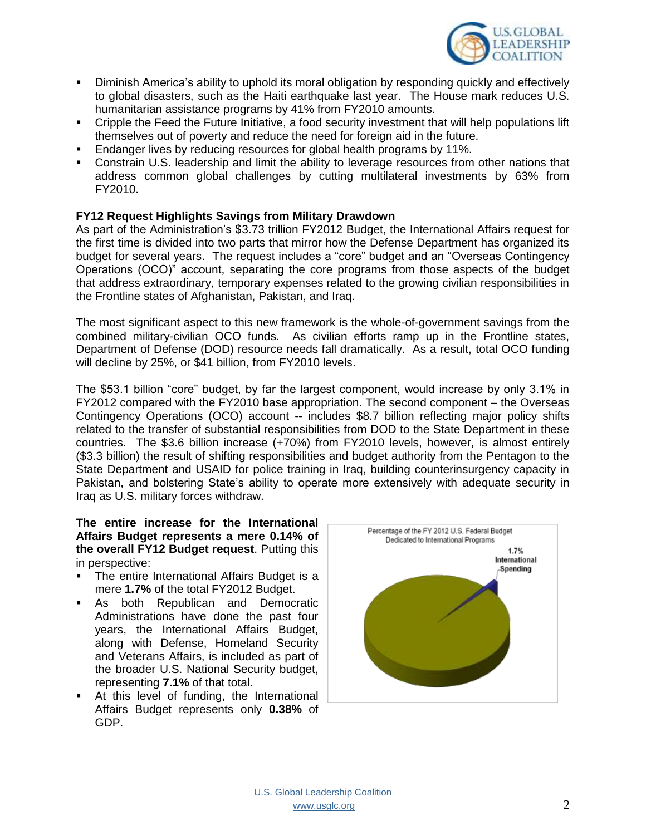

- Diminish America's ability to uphold its moral obligation by responding quickly and effectively to global disasters, such as the Haiti earthquake last year. The House mark reduces U.S. humanitarian assistance programs by 41% from FY2010 amounts.
- Cripple the Feed the Future Initiative, a food security investment that will help populations lift themselves out of poverty and reduce the need for foreign aid in the future.
- Endanger lives by reducing resources for global health programs by 11%.
- **Constrain U.S. leadership and limit the ability to leverage resources from other nations that** address common global challenges by cutting multilateral investments by 63% from FY2010.

### **FY12 Request Highlights Savings from Military Drawdown**

As part of the Administration's \$3.73 trillion FY2012 Budget, the International Affairs request for the first time is divided into two parts that mirror how the Defense Department has organized its budget for several years. The request includes a "core" budget and an "Overseas Contingency Operations (OCO)" account, separating the core programs from those aspects of the budget that address extraordinary, temporary expenses related to the growing civilian responsibilities in the Frontline states of Afghanistan, Pakistan, and Iraq.

The most significant aspect to this new framework is the whole-of-government savings from the combined military-civilian OCO funds. As civilian efforts ramp up in the Frontline states, Department of Defense (DOD) resource needs fall dramatically. As a result, total OCO funding will decline by 25%, or \$41 billion, from FY2010 levels.

The \$53.1 billion "core" budget, by far the largest component, would increase by only 3.1% in FY2012 compared with the FY2010 base appropriation. The second component – the Overseas Contingency Operations (OCO) account -- includes \$8.7 billion reflecting major policy shifts related to the transfer of substantial responsibilities from DOD to the State Department in these countries. The \$3.6 billion increase (+70%) from FY2010 levels, however, is almost entirely (\$3.3 billion) the result of shifting responsibilities and budget authority from the Pentagon to the State Department and USAID for police training in Iraq, building counterinsurgency capacity in Pakistan, and bolstering State's ability to operate more extensively with adequate security in Iraq as U.S. military forces withdraw.

**The entire increase for the International Affairs Budget represents a mere 0.14% of the overall FY12 Budget request**. Putting this in perspective:

- The entire International Affairs Budget is a mere **1.7%** of the total FY2012 Budget.
- **As both Republican and Democratic** Administrations have done the past four years, the International Affairs Budget, along with Defense, Homeland Security and Veterans Affairs, is included as part of the broader U.S. National Security budget, representing **7.1%** of that total.
- At this level of funding, the International Affairs Budget represents only **0.38%** of GDP.

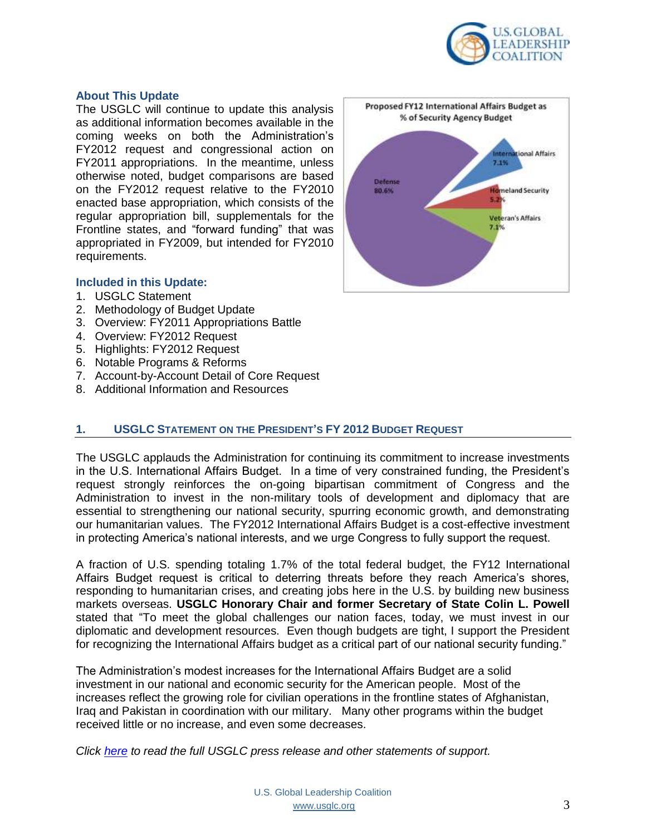

### **About This Update**

The USGLC will continue to update this analysis as additional information becomes available in the coming weeks on both the Administration's FY2012 request and congressional action on FY2011 appropriations. In the meantime, unless otherwise noted, budget comparisons are based on the FY2012 request relative to the FY2010 enacted base appropriation, which consists of the regular appropriation bill, supplementals for the Frontline states, and "forward funding" that was appropriated in FY2009, but intended for FY2010 requirements.

### **Included in this Update:**

- 1. USGLC Statement
- 2. Methodology of Budget Update
- 3. Overview: FY2011 Appropriations Battle
- 4. Overview: FY2012 Request
- 5. Highlights: FY2012 Request
- 6. Notable Programs & Reforms
- 7. Account-by-Account Detail of Core Request
- 8. Additional Information and Resources



### **1. USGLC STATEMENT ON THE PRESIDENT'S FY 2012 BUDGET REQUEST**

The USGLC applauds the Administration for continuing its commitment to increase investments in the U.S. International Affairs Budget. In a time of very constrained funding, the President's request strongly reinforces the on-going bipartisan commitment of Congress and the Administration to invest in the non-military tools of development and diplomacy that are essential to strengthening our national security, spurring economic growth, and demonstrating our humanitarian values. The FY2012 International Affairs Budget is a cost-effective investment in protecting America's national interests, and we urge Congress to fully support the request.

A fraction of U.S. spending totaling 1.7% of the total federal budget, the FY12 International Affairs Budget request is critical to deterring threats before they reach America's shores, responding to humanitarian crises, and creating jobs here in the U.S. by building new business markets overseas. **USGLC Honorary Chair and former Secretary of State Colin L. Powell**  stated that "To meet the global challenges our nation faces, today, we must invest in our diplomatic and development resources. Even though budgets are tight, I support the President for recognizing the International Affairs budget as a critical part of our national security funding."

The Administration's modest increases for the International Affairs Budget are a solid investment in our national and economic security for the American people. Most of the increases reflect the growing role for civilian operations in the frontline states of Afghanistan, Iraq and Pakistan in coordination with our military. Many other programs within the budget received little or no increase, and even some decreases.

*Click [here](http://www.usglc.org/2011/02/14/usglc-calls-on-congress-to-support-president%E2%80%99s-fy-2012-international-affairs-budget-request/) to read the full USGLC press release and other statements of support.*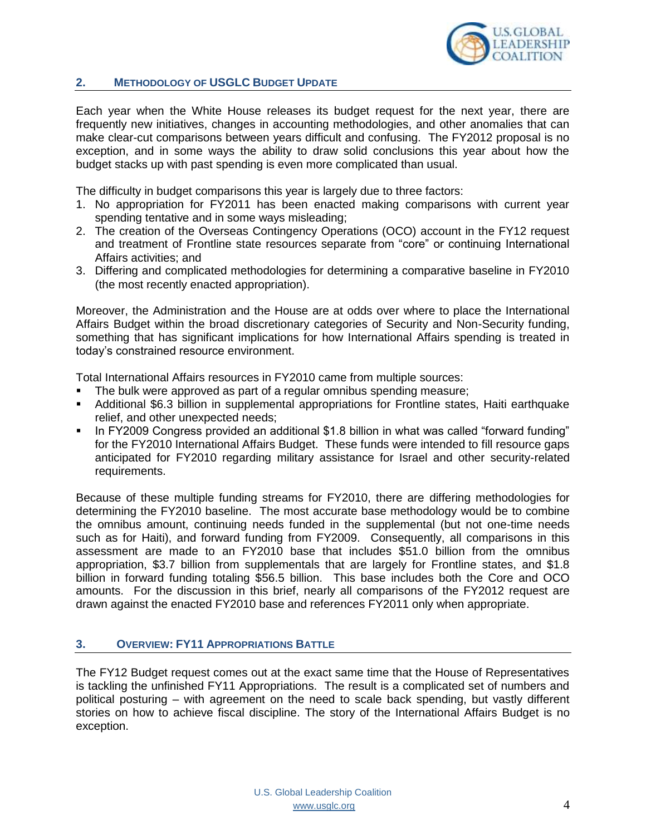

### **2. METHODOLOGY OF USGLC BUDGET UPDATE**

Each year when the White House releases its budget request for the next year, there are frequently new initiatives, changes in accounting methodologies, and other anomalies that can make clear-cut comparisons between years difficult and confusing. The FY2012 proposal is no exception, and in some ways the ability to draw solid conclusions this year about how the budget stacks up with past spending is even more complicated than usual.

The difficulty in budget comparisons this year is largely due to three factors:

- 1. No appropriation for FY2011 has been enacted making comparisons with current year spending tentative and in some ways misleading;
- 2. The creation of the Overseas Contingency Operations (OCO) account in the FY12 request and treatment of Frontline state resources separate from "core" or continuing International Affairs activities; and
- 3. Differing and complicated methodologies for determining a comparative baseline in FY2010 (the most recently enacted appropriation).

Moreover, the Administration and the House are at odds over where to place the International Affairs Budget within the broad discretionary categories of Security and Non-Security funding, something that has significant implications for how International Affairs spending is treated in today's constrained resource environment.

Total International Affairs resources in FY2010 came from multiple sources:

- The bulk were approved as part of a regular omnibus spending measure;
- Additional \$6.3 billion in supplemental appropriations for Frontline states, Haiti earthquake relief, and other unexpected needs;
- In FY2009 Congress provided an additional \$1.8 billion in what was called "forward funding" for the FY2010 International Affairs Budget. These funds were intended to fill resource gaps anticipated for FY2010 regarding military assistance for Israel and other security-related requirements.

Because of these multiple funding streams for FY2010, there are differing methodologies for determining the FY2010 baseline. The most accurate base methodology would be to combine the omnibus amount, continuing needs funded in the supplemental (but not one-time needs such as for Haiti), and forward funding from FY2009. Consequently, all comparisons in this assessment are made to an FY2010 base that includes \$51.0 billion from the omnibus appropriation, \$3.7 billion from supplementals that are largely for Frontline states, and \$1.8 billion in forward funding totaling \$56.5 billion. This base includes both the Core and OCO amounts. For the discussion in this brief, nearly all comparisons of the FY2012 request are drawn against the enacted FY2010 base and references FY2011 only when appropriate.

### **3. OVERVIEW: FY11 APPROPRIATIONS BATTLE**

The FY12 Budget request comes out at the exact same time that the House of Representatives is tackling the unfinished FY11 Appropriations. The result is a complicated set of numbers and political posturing – with agreement on the need to scale back spending, but vastly different stories on how to achieve fiscal discipline. The story of the International Affairs Budget is no exception.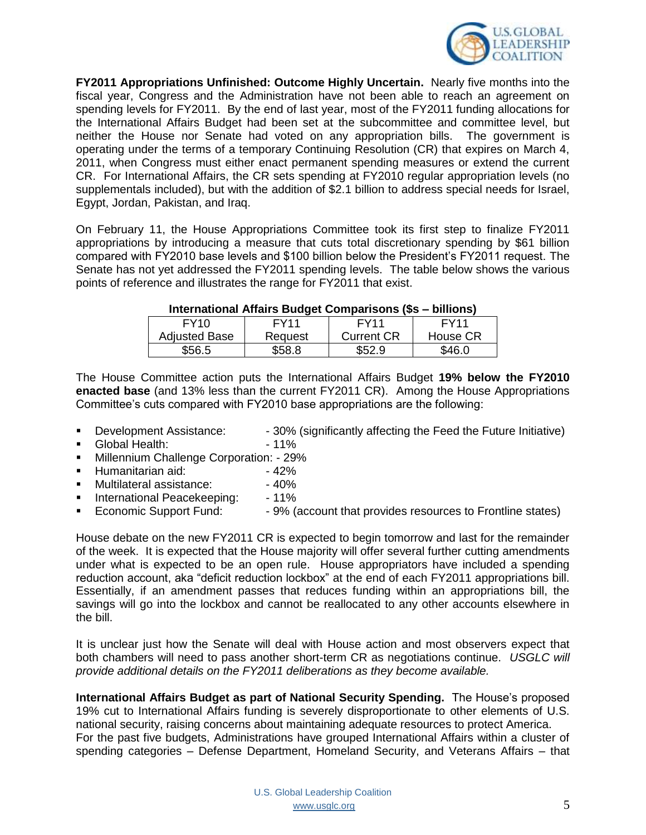

**FY2011 Appropriations Unfinished: Outcome Highly Uncertain.** Nearly five months into the fiscal year, Congress and the Administration have not been able to reach an agreement on spending levels for FY2011. By the end of last year, most of the FY2011 funding allocations for the International Affairs Budget had been set at the subcommittee and committee level, but neither the House nor Senate had voted on any appropriation bills. The government is operating under the terms of a temporary Continuing Resolution (CR) that expires on March 4, 2011, when Congress must either enact permanent spending measures or extend the current CR. For International Affairs, the CR sets spending at FY2010 regular appropriation levels (no supplementals included), but with the addition of \$2.1 billion to address special needs for Israel, Egypt, Jordan, Pakistan, and Iraq.

On February 11, the House Appropriations Committee took its first step to finalize FY2011 appropriations by introducing a measure that cuts total discretionary spending by \$61 billion compared with FY2010 base levels and \$100 billion below the President's FY2011 request. The Senate has not yet addressed the FY2011 spending levels. The table below shows the various points of reference and illustrates the range for FY2011 that exist.

### **International Affairs Budget Comparisons (\$s – billions)**

| FY <sub>10</sub>     | FY11    | FY <sub>11</sub>  | FY <sub>11</sub> |
|----------------------|---------|-------------------|------------------|
| <b>Adjusted Base</b> | Reguest | <b>Current CR</b> | House CR         |
| \$56.5               | \$58.8  | \$52.9            | \$46.0           |

The House Committee action puts the International Affairs Budget **19% below the FY2010 enacted base** (and 13% less than the current FY2011 CR). Among the House Appropriations Committee's cuts compared with FY2010 base appropriations are the following:

- Development Assistance: 30% (significantly affecting the Feed the Future Initiative)
- Global Health: 41%
- **Millennium Challenge Corporation: 29%**
- Humanitarian aid: 42%
- Multilateral assistance: → 40%
- **International Peacekeeping:** 11%
- **Economic Support Fund:** 9% (account that provides resources to Frontline states)

House debate on the new FY2011 CR is expected to begin tomorrow and last for the remainder of the week. It is expected that the House majority will offer several further cutting amendments under what is expected to be an open rule. House appropriators have included a spending reduction account, aka "deficit reduction lockbox" at the end of each FY2011 appropriations bill. Essentially, if an amendment passes that reduces funding within an appropriations bill, the savings will go into the lockbox and cannot be reallocated to any other accounts elsewhere in the bill.

It is unclear just how the Senate will deal with House action and most observers expect that both chambers will need to pass another short-term CR as negotiations continue. *USGLC will provide additional details on the FY2011 deliberations as they become available.*

**International Affairs Budget as part of National Security Spending.** The House's proposed 19% cut to International Affairs funding is severely disproportionate to other elements of U.S. national security, raising concerns about maintaining adequate resources to protect America. For the past five budgets, Administrations have grouped International Affairs within a cluster of spending categories – Defense Department, Homeland Security, and Veterans Affairs – that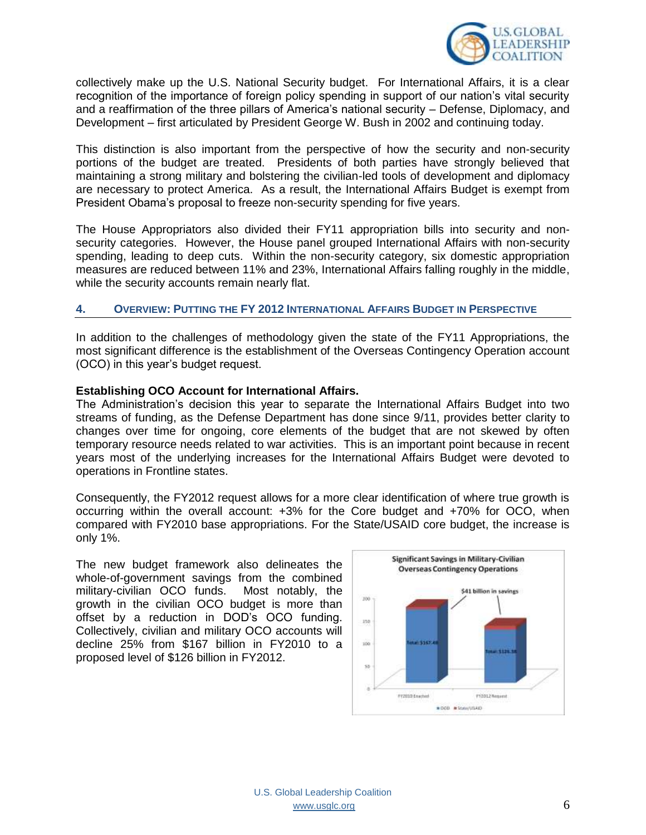

collectively make up the U.S. National Security budget. For International Affairs, it is a clear recognition of the importance of foreign policy spending in support of our nation's vital security and a reaffirmation of the three pillars of America's national security – Defense, Diplomacy, and Development – first articulated by President George W. Bush in 2002 and continuing today.

This distinction is also important from the perspective of how the security and non-security portions of the budget are treated. Presidents of both parties have strongly believed that maintaining a strong military and bolstering the civilian-led tools of development and diplomacy are necessary to protect America. As a result, the International Affairs Budget is exempt from President Obama's proposal to freeze non-security spending for five years.

The House Appropriators also divided their FY11 appropriation bills into security and nonsecurity categories. However, the House panel grouped International Affairs with non-security spending, leading to deep cuts. Within the non-security category, six domestic appropriation measures are reduced between 11% and 23%, International Affairs falling roughly in the middle, while the security accounts remain nearly flat.

### **4. OVERVIEW: PUTTING THE FY 2012 INTERNATIONAL AFFAIRS BUDGET IN PERSPECTIVE**

In addition to the challenges of methodology given the state of the FY11 Appropriations, the most significant difference is the establishment of the Overseas Contingency Operation account (OCO) in this year's budget request.

### **Establishing OCO Account for International Affairs.**

The Administration's decision this year to separate the International Affairs Budget into two streams of funding, as the Defense Department has done since 9/11, provides better clarity to changes over time for ongoing, core elements of the budget that are not skewed by often temporary resource needs related to war activities. This is an important point because in recent years most of the underlying increases for the International Affairs Budget were devoted to operations in Frontline states.

Consequently, the FY2012 request allows for a more clear identification of where true growth is occurring within the overall account: +3% for the Core budget and +70% for OCO, when compared with FY2010 base appropriations. For the State/USAID core budget, the increase is only 1%.

The new budget framework also delineates the whole-of-government savings from the combined military-civilian OCO funds. Most notably, the growth in the civilian OCO budget is more than offset by a reduction in DOD's OCO funding. Collectively, civilian and military OCO accounts will decline 25% from \$167 billion in FY2010 to a proposed level of \$126 billion in FY2012.

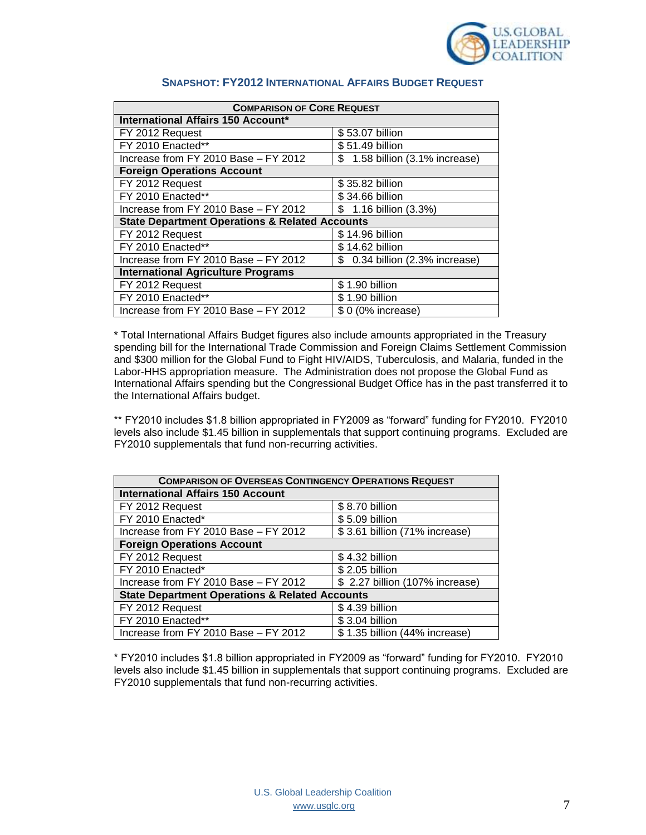

| <b>COMPARISON OF CORE REQUEST</b>                         |                                 |  |
|-----------------------------------------------------------|---------------------------------|--|
| International Affairs 150 Account*                        |                                 |  |
| FY 2012 Request                                           | \$53.07 billion                 |  |
| FY 2010 Enacted**                                         | \$51.49 billion                 |  |
| Increase from FY 2010 Base - FY 2012                      | \$ 1.58 billion (3.1% increase) |  |
| <b>Foreign Operations Account</b>                         |                                 |  |
| FY 2012 Request                                           | \$35.82 billion                 |  |
| FY 2010 Enacted**                                         | \$34.66 billion                 |  |
| Increase from FY 2010 Base - FY 2012                      | \$ 1.16 billion (3.3%)          |  |
| <b>State Department Operations &amp; Related Accounts</b> |                                 |  |
| FY 2012 Request                                           | \$14.96 billion                 |  |
| FY 2010 Enacted**                                         | \$14.62 billion                 |  |
| Increase from FY 2010 Base - FY 2012                      | \$ 0.34 billion (2.3% increase) |  |
| <b>International Agriculture Programs</b>                 |                                 |  |
| FY 2012 Request                                           | \$1.90 billion                  |  |
| FY 2010 Enacted**                                         | \$1.90 billion                  |  |
| Increase from FY 2010 Base - FY 2012                      | \$ 0 (0% increase)              |  |

### **SNAPSHOT: FY2012 INTERNATIONAL AFFAIRS BUDGET REQUEST**

\* Total International Affairs Budget figures also include amounts appropriated in the Treasury spending bill for the International Trade Commission and Foreign Claims Settlement Commission and \$300 million for the Global Fund to Fight HIV/AIDS, Tuberculosis, and Malaria, funded in the Labor-HHS appropriation measure. The Administration does not propose the Global Fund as International Affairs spending but the Congressional Budget Office has in the past transferred it to the International Affairs budget.

\*\* FY2010 includes \$1.8 billion appropriated in FY2009 as "forward" funding for FY2010. FY2010 levels also include \$1.45 billion in supplementals that support continuing programs. Excluded are FY2010 supplementals that fund non-recurring activities.

| <b>COMPARISON OF OVERSEAS CONTINGENCY OPERATIONS REQUEST</b> |                                 |  |
|--------------------------------------------------------------|---------------------------------|--|
| <b>International Affairs 150 Account</b>                     |                                 |  |
| FY 2012 Request                                              | \$8.70 billion                  |  |
| FY 2010 Enacted*                                             | \$5.09 billion                  |  |
| Increase from FY 2010 Base - FY 2012                         | \$3.61 billion (71% increase)   |  |
| <b>Foreign Operations Account</b>                            |                                 |  |
| FY 2012 Request                                              | \$4.32 billion                  |  |
| FY 2010 Enacted*                                             | \$2.05 billion                  |  |
| Increase from FY 2010 Base - FY 2012                         | \$ 2.27 billion (107% increase) |  |
| <b>State Department Operations &amp; Related Accounts</b>    |                                 |  |
| FY 2012 Request                                              | \$4.39 billion                  |  |
| FY 2010 Enacted**                                            | \$3.04 billion                  |  |
| Increase from FY 2010 Base - FY 2012                         | \$1.35 billion (44% increase)   |  |

\* FY2010 includes \$1.8 billion appropriated in FY2009 as "forward" funding for FY2010. FY2010 levels also include \$1.45 billion in supplementals that support continuing programs. Excluded are FY2010 supplementals that fund non-recurring activities.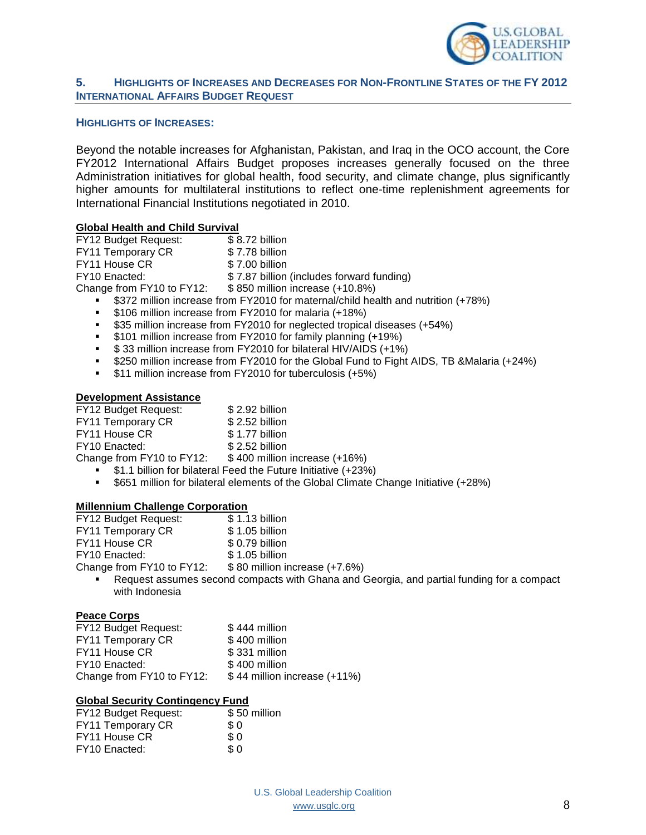

### **5. HIGHLIGHTS OF INCREASES AND DECREASES FOR NON-FRONTLINE STATES OF THE FY 2012 INTERNATIONAL AFFAIRS BUDGET REQUEST**

### **HIGHLIGHTS OF INCREASES:**

Beyond the notable increases for Afghanistan, Pakistan, and Iraq in the OCO account, the Core FY2012 International Affairs Budget proposes increases generally focused on the three Administration initiatives for global health, food security, and climate change, plus significantly higher amounts for multilateral institutions to reflect one-time replenishment agreements for International Financial Institutions negotiated in 2010.

### **Global Health and Child Survival**

| FY12 Budget Request:      | \$8.72 billion                                                                      |
|---------------------------|-------------------------------------------------------------------------------------|
| FY11 Temporary CR         | \$7.78 billion                                                                      |
| FY11 House CR             | \$7.00 billion                                                                      |
| FY10 Enacted:             | \$7.87 billion (includes forward funding)                                           |
| Change from FY10 to FY12: | \$850 million increase (+10.8%)                                                     |
|                           | • \$372 million increase from FY2010 for maternal/child health and nutrition (+78%) |

- **5106 million increase from FY2010 for malaria (+18%)**
- **535 million increase from FY2010 for neglected tropical diseases (+54%)**
- **5101 million increase from FY2010 for family planning (+19%)**
- $\bullet$  \$33 million increase from FY2010 for bilateral HIV/AIDS (+1%)
- \$250 million increase from FY2010 for the Global Fund to Fight AIDS, TB &Malaria (+24%)
- **\$11 million increase from FY2010 for tuberculosis (+5%)**

### **Development Assistance**

| FY12 Budget Request:      | \$2.92 billion                                                |
|---------------------------|---------------------------------------------------------------|
| FY11 Temporary CR         | \$2.52 billion                                                |
| FY11 House CR             | \$1.77 billion                                                |
| FY10 Enacted:             | \$2.52 billion                                                |
| Change from FY10 to FY12: | \$400 million increase (+16%)                                 |
|                           | \$1.1 billion for bilateral Feed the Future Initiative (+23%) |

\$651 million for bilateral elements of the Global Climate Change Initiative (+28%)

### **Millennium Challenge Corporation**

| <b>FY12 Budget Request:</b> | \$1.13 billion                |
|-----------------------------|-------------------------------|
| FY11 Temporary CR           | \$1.05 billion                |
| FY11 House CR               | \$ 0.79 billion               |
| FY10 Enacted:               | \$1.05 billion                |
| Change from FY10 to FY12:   | \$80 million increase (+7.6%) |

 Request assumes second compacts with Ghana and Georgia, and partial funding for a compact with Indonesia

### **Peace Corps**

| FY12 Budget Request:      | $$444$ million               |
|---------------------------|------------------------------|
| FY11 Temporary CR         | \$400 million                |
| FY11 House CR             | \$331 million                |
| FY10 Enacted:             | \$400 million                |
| Change from FY10 to FY12: | \$44 million increase (+11%) |

### **Global Security Contingency Fund**

| FY12 Budget Request: | \$50 million |
|----------------------|--------------|
| FY11 Temporary CR    | \$ 0         |
| FY11 House CR        | \$0          |
| FY10 Enacted:        | \$ 0         |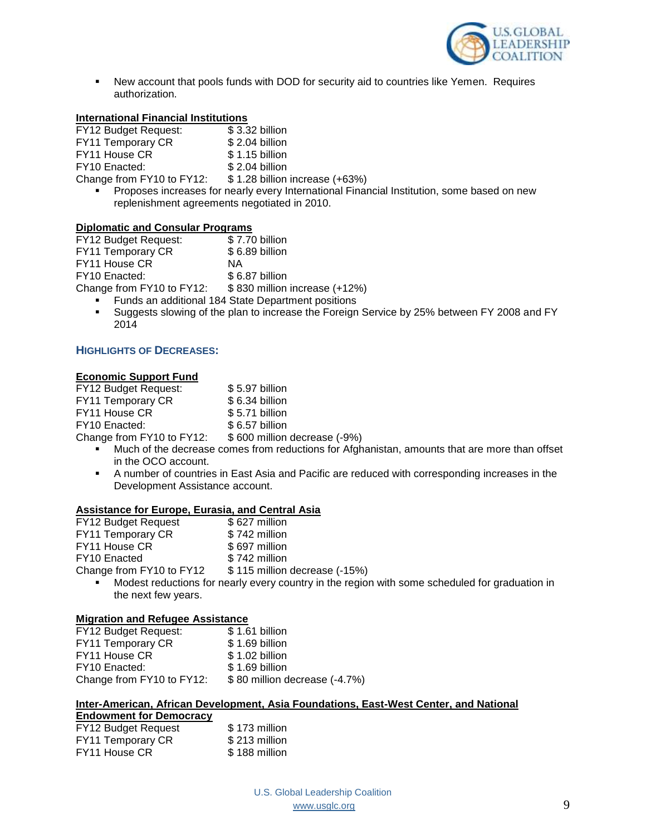

 New account that pools funds with DOD for security aid to countries like Yemen. Requires authorization.

### **International Financial Institutions**

| <b>FY12 Budget Request:</b> | \$3.32 billion                 |
|-----------------------------|--------------------------------|
| FY11 Temporary CR           | \$2.04 billion                 |
| FY11 House CR               | \$1.15 billion                 |
| FY10 Enacted:               | \$2.04 billion                 |
| Change from FY10 to FY12:   | \$1.28 billion increase (+63%) |
|                             |                                |

 Proposes increases for nearly every International Financial Institution, some based on new replenishment agreements negotiated in 2010.

### **Diplomatic and Consular Programs**

| FY12 Budget Request:      | \$7.70 billion                                     |
|---------------------------|----------------------------------------------------|
| FY11 Temporary CR         | \$6.89 billion                                     |
| FY11 House CR             | ΝA                                                 |
| FY10 Enacted:             | \$6.87 billion                                     |
| Change from FY10 to FY12: | \$830 million increase (+12%)                      |
|                           | Funds an additional 184 State Department positions |

 Suggests slowing of the plan to increase the Foreign Service by 25% between FY 2008 and FY 2014

### **HIGHLIGHTS OF DECREASES:**

#### **Economic Support Fund**

| <b>FY12 Budget Request:</b> | \$5.97 billion               |
|-----------------------------|------------------------------|
| FY11 Temporary CR           | \$6.34 billion               |
| FY11 House CR               | \$5.71 billion               |
| FY10 Enacted:               | \$6.57 billion               |
| Change from FY10 to FY12:   | \$600 million decrease (-9%) |

- Much of the decrease comes from reductions for Afghanistan, amounts that are more than offset in the OCO account.
- A number of countries in East Asia and Pacific are reduced with corresponding increases in the Development Assistance account.

### **Assistance for Europe, Eurasia, and Central Asia**

| <b>FY12 Budget Request</b> | \$627 million                                                                                                 |
|----------------------------|---------------------------------------------------------------------------------------------------------------|
| FY11 Temporary CR          | \$742 million                                                                                                 |
| FY11 House CR              | \$697 million                                                                                                 |
| FY10 Enacted               | \$742 million                                                                                                 |
| Change from FY10 to FY12   | \$115 million decrease (-15%)                                                                                 |
|                            | and the March and the second contract of the second contract of the March 2014 and 2014 and 2014 and 2014 and |

 Modest reductions for nearly every country in the region with some scheduled for graduation in the next few years.

### **Migration and Refugee Assistance**

| <b>FY12 Budget Request:</b> | \$1.61 billion                |
|-----------------------------|-------------------------------|
| FY11 Temporary CR           | \$1.69 billion                |
| FY11 House CR               | \$1.02 billion                |
| FY10 Enacted:               | \$1.69 billion                |
| Change from FY10 to FY12:   | \$80 million decrease (-4.7%) |

### **Inter-American, African Development, Asia Foundations, East-West Center, and National**

## **Endowment for Democracy**

| <b>FY12 Budget Request</b> | \$173 million |
|----------------------------|---------------|
| <b>FY11 Temporary CR</b>   | \$213 million |
| FY11 House CR              | \$188 million |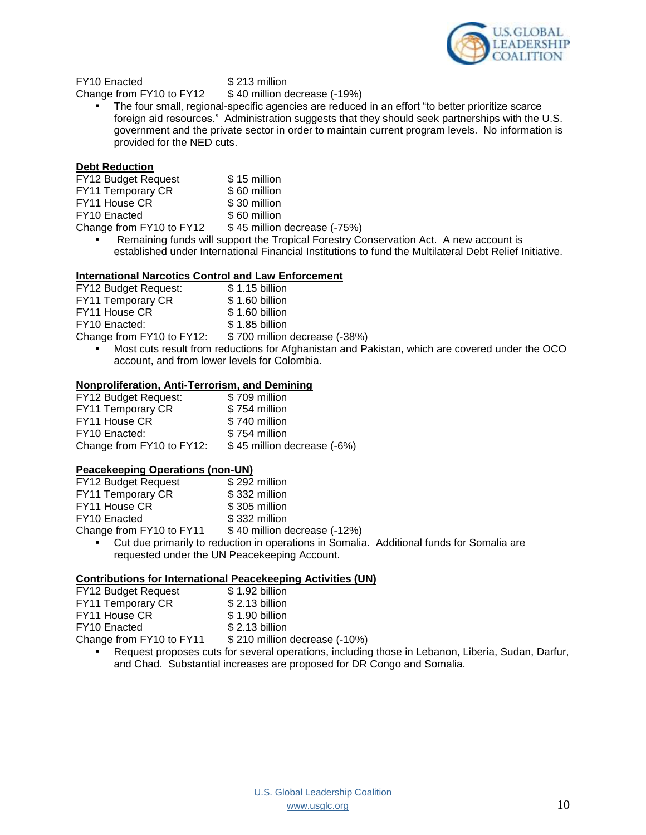

FY10 Enacted \$213 million

Change from FY10 to FY12 \$40 million decrease (-19%)

 The four small, regional-specific agencies are reduced in an effort "to better prioritize scarce foreign aid resources." Administration suggests that they should seek partnerships with the U.S. government and the private sector in order to maintain current program levels. No information is provided for the NED cuts.

### **Debt Reduction**

| <b>FY12 Budget Request</b> | \$15 million                 |
|----------------------------|------------------------------|
| FY11 Temporary CR          | \$60 million                 |
| FY11 House CR              | \$30 million                 |
| FY10 Enacted               | \$60 million                 |
| Change from FY10 to FY12   | \$45 million decrease (-75%) |

 Remaining funds will support the Tropical Forestry Conservation Act. A new account is established under International Financial Institutions to fund the Multilateral Debt Relief Initiative.

### **International Narcotics Control and Law Enforcement**

| FY12 Budget Request:      | \$1.15 billion                                                        |
|---------------------------|-----------------------------------------------------------------------|
| FY11 Temporary CR         | \$1.60 billion                                                        |
| FY11 House CR             | \$1.60 billion                                                        |
| FY10 Enacted:             | \$1.85 billion                                                        |
| Change from FY10 to FY12: | \$700 million decrease (-38%)                                         |
|                           | $\blacksquare$ Most cute result from reductions for Afghanistan and D |

 Most cuts result from reductions for Afghanistan and Pakistan, which are covered under the OCO account, and from lower levels for Colombia.

### **Nonproliferation, Anti-Terrorism, and Demining**

| <b>FY12 Budget Request:</b> | \$709 million               |
|-----------------------------|-----------------------------|
| FY11 Temporary CR           | \$754 million               |
| FY11 House CR               | \$740 million               |
| FY10 Enacted:               | \$754 million               |
| Change from FY10 to FY12:   | \$45 million decrease (-6%) |

### **Peacekeeping Operations (non-UN)**

| FY12 Budget Request      | \$292 million                |
|--------------------------|------------------------------|
| FY11 Temporary CR        | \$332 million                |
| FY11 House CR            | \$305 million                |
| FY10 Enacted             | \$332 million                |
| Change from FY10 to FY11 | \$40 million decrease (-12%) |

 Cut due primarily to reduction in operations in Somalia. Additional funds for Somalia are requested under the UN Peacekeeping Account.

### **Contributions for International Peacekeeping Activities (UN)**

| FY12 Budget Request      | \$1.92 billion                |
|--------------------------|-------------------------------|
| FY11 Temporary CR        | \$2.13 billion                |
| FY11 House CR            | \$1.90 billion                |
| FY10 Enacted             | \$2.13 billion                |
| Change from FY10 to FY11 | \$210 million decrease (-10%) |

 Request proposes cuts for several operations, including those in Lebanon, Liberia, Sudan, Darfur, and Chad. Substantial increases are proposed for DR Congo and Somalia.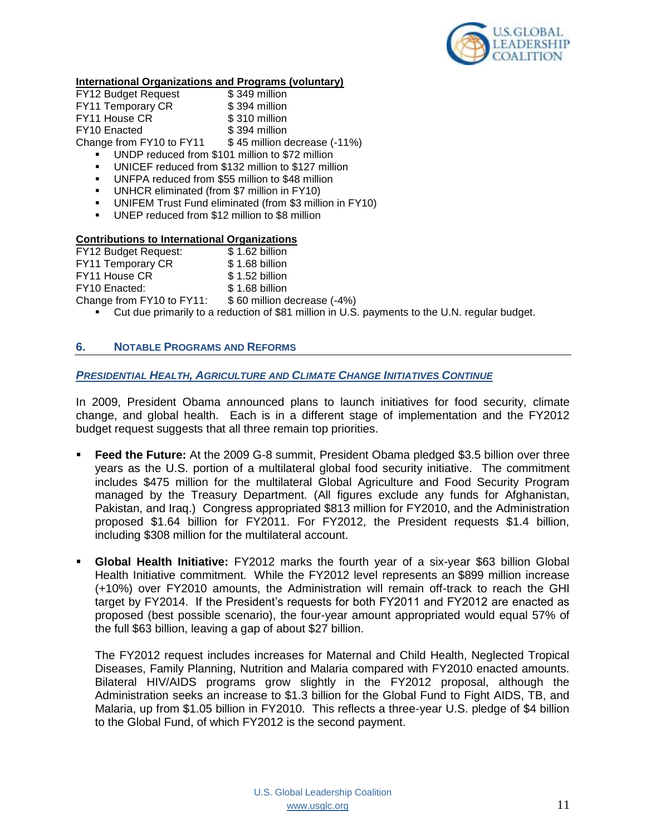

### **International Organizations and Programs (voluntary)**

| FY12 Budget Request                                | \$349 million                |  |
|----------------------------------------------------|------------------------------|--|
| FY11 Temporary CR                                  | \$394 million                |  |
| FY11 House CR                                      | \$310 million                |  |
| <b>FY10 Enacted</b>                                | \$394 million                |  |
| Change from FY10 to FY11                           | \$45 million decrease (-11%) |  |
| UNDP reduced from \$101 million to \$72 million    |                              |  |
| UNICEF reduced from \$132 million to \$127 million |                              |  |

- UNFPA reduced from \$55 million to \$48 million
- **UNHCR eliminated (from \$7 million in FY10)**
- UNIFEM Trust Fund eliminated (from \$3 million in FY10)
- UNEP reduced from \$12 million to \$8 million

# **Contributions to International Organizations**<br>FY12 Budget Request: \$1.62 billion

FY12 Budget Request: FY11 Temporary CR \$1.68 billion FY11 House CR \$1.52 billion FY10 Enacted: \$ 1.68 billion Change from FY10 to FY11: \$ 60 million decrease (-4%) • Cut due primarily to a reduction of \$81 million in U.S. payments to the U.N. regular budget.

### **6. NOTABLE PROGRAMS AND REFORMS**

### *PRESIDENTIAL HEALTH, AGRICULTURE AND CLIMATE CHANGE INITIATIVES CONTINUE*

In 2009, President Obama announced plans to launch initiatives for food security, climate change, and global health. Each is in a different stage of implementation and the FY2012 budget request suggests that all three remain top priorities.

- **Feed the Future:** At the 2009 G-8 summit, President Obama pledged \$3.5 billion over three years as the U.S. portion of a multilateral global food security initiative. The commitment includes \$475 million for the multilateral Global Agriculture and Food Security Program managed by the Treasury Department. (All figures exclude any funds for Afghanistan, Pakistan, and Iraq.) Congress appropriated \$813 million for FY2010, and the Administration proposed \$1.64 billion for FY2011. For FY2012, the President requests \$1.4 billion, including \$308 million for the multilateral account.
- **Global Health Initiative:** FY2012 marks the fourth year of a six-year \$63 billion Global Health Initiative commitment. While the FY2012 level represents an \$899 million increase (+10%) over FY2010 amounts, the Administration will remain off-track to reach the GHI target by FY2014. If the President's requests for both FY2011 and FY2012 are enacted as proposed (best possible scenario), the four-year amount appropriated would equal 57% of the full \$63 billion, leaving a gap of about \$27 billion.

The FY2012 request includes increases for Maternal and Child Health, Neglected Tropical Diseases, Family Planning, Nutrition and Malaria compared with FY2010 enacted amounts. Bilateral HIV/AIDS programs grow slightly in the FY2012 proposal, although the Administration seeks an increase to \$1.3 billion for the Global Fund to Fight AIDS, TB, and Malaria, up from \$1.05 billion in FY2010. This reflects a three-year U.S. pledge of \$4 billion to the Global Fund, of which FY2012 is the second payment.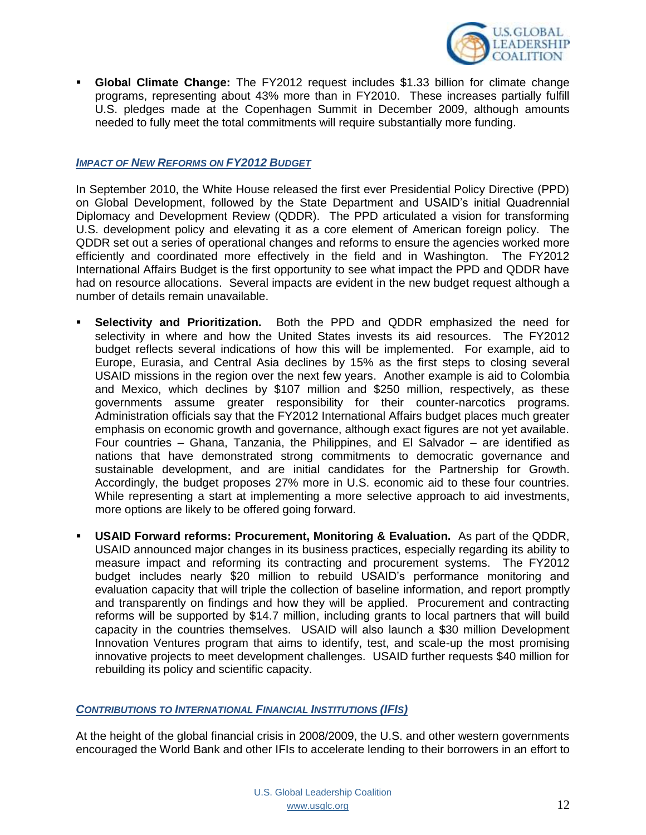

 **Global Climate Change:** The FY2012 request includes \$1.33 billion for climate change programs, representing about 43% more than in FY2010. These increases partially fulfill U.S. pledges made at the Copenhagen Summit in December 2009, although amounts needed to fully meet the total commitments will require substantially more funding.

### *IMPACT OF NEW REFORMS ON FY2012 BUDGET*

In September 2010, the White House released the first ever Presidential Policy Directive (PPD) on Global Development, followed by the State Department and USAID's initial Quadrennial Diplomacy and Development Review (QDDR). The PPD articulated a vision for transforming U.S. development policy and elevating it as a core element of American foreign policy. The QDDR set out a series of operational changes and reforms to ensure the agencies worked more efficiently and coordinated more effectively in the field and in Washington. The FY2012 International Affairs Budget is the first opportunity to see what impact the PPD and QDDR have had on resource allocations. Several impacts are evident in the new budget request although a number of details remain unavailable.

- **Selectivity and Prioritization.** Both the PPD and QDDR emphasized the need for selectivity in where and how the United States invests its aid resources. The FY2012 budget reflects several indications of how this will be implemented. For example, aid to Europe, Eurasia, and Central Asia declines by 15% as the first steps to closing several USAID missions in the region over the next few years. Another example is aid to Colombia and Mexico, which declines by \$107 million and \$250 million, respectively, as these governments assume greater responsibility for their counter-narcotics programs. Administration officials say that the FY2012 International Affairs budget places much greater emphasis on economic growth and governance, although exact figures are not yet available. Four countries – Ghana, Tanzania, the Philippines, and El Salvador – are identified as nations that have demonstrated strong commitments to democratic governance and sustainable development, and are initial candidates for the Partnership for Growth. Accordingly, the budget proposes 27% more in U.S. economic aid to these four countries. While representing a start at implementing a more selective approach to aid investments, more options are likely to be offered going forward.
- **USAID Forward reforms: Procurement, Monitoring & Evaluation.** As part of the QDDR, USAID announced major changes in its business practices, especially regarding its ability to measure impact and reforming its contracting and procurement systems. The FY2012 budget includes nearly \$20 million to rebuild USAID's performance monitoring and evaluation capacity that will triple the collection of baseline information, and report promptly and transparently on findings and how they will be applied. Procurement and contracting reforms will be supported by \$14.7 million, including grants to local partners that will build capacity in the countries themselves. USAID will also launch a \$30 million Development Innovation Ventures program that aims to identify, test, and scale-up the most promising innovative projects to meet development challenges. USAID further requests \$40 million for rebuilding its policy and scientific capacity.

### *CONTRIBUTIONS TO INTERNATIONAL FINANCIAL INSTITUTIONS (IFIS)*

At the height of the global financial crisis in 2008/2009, the U.S. and other western governments encouraged the World Bank and other IFIs to accelerate lending to their borrowers in an effort to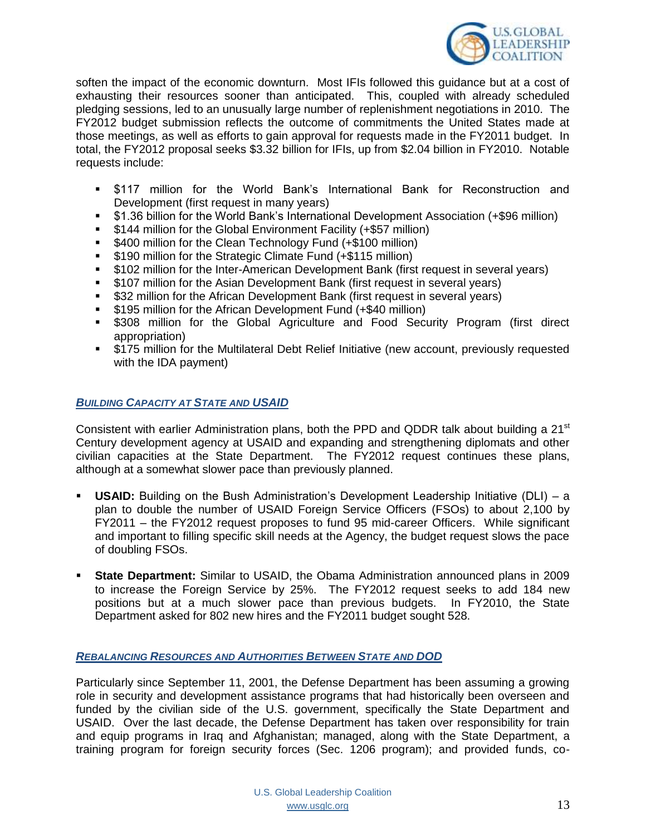

soften the impact of the economic downturn. Most IFIs followed this guidance but at a cost of exhausting their resources sooner than anticipated. This, coupled with already scheduled pledging sessions, led to an unusually large number of replenishment negotiations in 2010. The FY2012 budget submission reflects the outcome of commitments the United States made at those meetings, as well as efforts to gain approval for requests made in the FY2011 budget. In total, the FY2012 proposal seeks \$3.32 billion for IFIs, up from \$2.04 billion in FY2010. Notable requests include:

- \$117 million for the World Bank's International Bank for Reconstruction and Development (first request in many years)
- \$1.36 billion for the World Bank's International Development Association (+\$96 million)
- **5144 million for the Global Environment Facility (+\$57 million)**
- **5400 million for the Clean Technology Fund (+\$100 million)**
- **5190 million for the Strategic Climate Fund (+\$115 million)**
- \$102 million for the Inter-American Development Bank (first request in several years)
- \$107 million for the Asian Development Bank (first request in several years)
- **532 million for the African Development Bank (first request in several years)**
- **5195 million for the African Development Fund (+\$40 million)**
- \$308 million for the Global Agriculture and Food Security Program (first direct appropriation)
- \$175 million for the Multilateral Debt Relief Initiative (new account, previously requested with the IDA payment)

### *BUILDING CAPACITY AT STATE AND USAID*

Consistent with earlier Administration plans, both the PPD and QDDR talk about building a 21<sup>st</sup> Century development agency at USAID and expanding and strengthening diplomats and other civilian capacities at the State Department. The FY2012 request continues these plans, although at a somewhat slower pace than previously planned.

- **USAID:** Building on the Bush Administration's Development Leadership Initiative (DLI) a plan to double the number of USAID Foreign Service Officers (FSOs) to about 2,100 by FY2011 – the FY2012 request proposes to fund 95 mid-career Officers. While significant and important to filling specific skill needs at the Agency, the budget request slows the pace of doubling FSOs.
- **State Department:** Similar to USAID, the Obama Administration announced plans in 2009 to increase the Foreign Service by 25%. The FY2012 request seeks to add 184 new positions but at a much slower pace than previous budgets. In FY2010, the State Department asked for 802 new hires and the FY2011 budget sought 528.

### *REBALANCING RESOURCES AND AUTHORITIES BETWEEN STATE AND DOD*

Particularly since September 11, 2001, the Defense Department has been assuming a growing role in security and development assistance programs that had historically been overseen and funded by the civilian side of the U.S. government, specifically the State Department and USAID. Over the last decade, the Defense Department has taken over responsibility for train and equip programs in Iraq and Afghanistan; managed, along with the State Department, a training program for foreign security forces (Sec. 1206 program); and provided funds, co-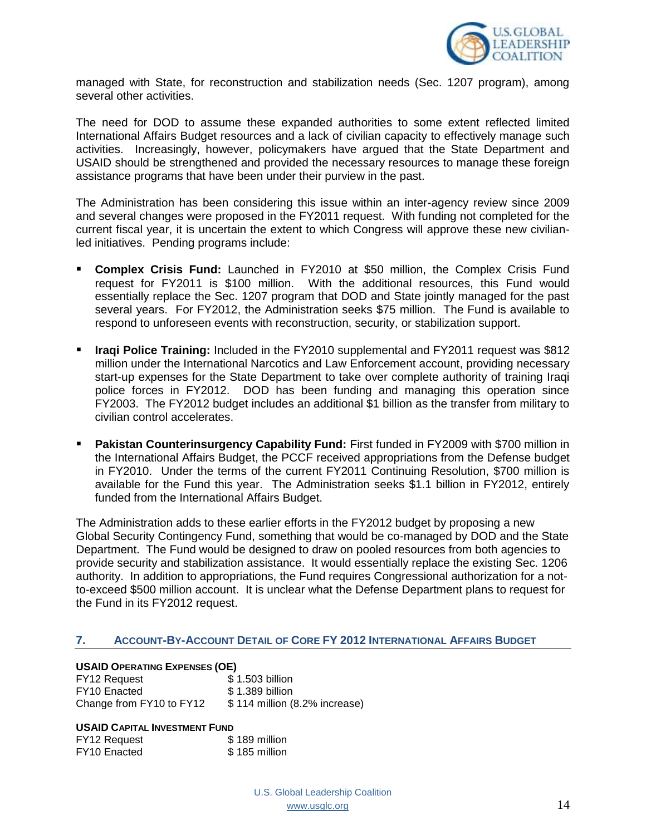

managed with State, for reconstruction and stabilization needs (Sec. 1207 program), among several other activities.

The need for DOD to assume these expanded authorities to some extent reflected limited International Affairs Budget resources and a lack of civilian capacity to effectively manage such activities. Increasingly, however, policymakers have argued that the State Department and USAID should be strengthened and provided the necessary resources to manage these foreign assistance programs that have been under their purview in the past.

The Administration has been considering this issue within an inter-agency review since 2009 and several changes were proposed in the FY2011 request. With funding not completed for the current fiscal year, it is uncertain the extent to which Congress will approve these new civilianled initiatives. Pending programs include:

- **Complex Crisis Fund:** Launched in FY2010 at \$50 million, the Complex Crisis Fund request for FY2011 is \$100 million. With the additional resources, this Fund would essentially replace the Sec. 1207 program that DOD and State jointly managed for the past several years. For FY2012, the Administration seeks \$75 million. The Fund is available to respond to unforeseen events with reconstruction, security, or stabilization support.
- **Iraqi Police Training:** Included in the FY2010 supplemental and FY2011 request was \$812 million under the International Narcotics and Law Enforcement account, providing necessary start-up expenses for the State Department to take over complete authority of training Iraqi police forces in FY2012. DOD has been funding and managing this operation since FY2003. The FY2012 budget includes an additional \$1 billion as the transfer from military to civilian control accelerates.
- **Pakistan Counterinsurgency Capability Fund:** First funded in FY2009 with \$700 million in the International Affairs Budget, the PCCF received appropriations from the Defense budget in FY2010. Under the terms of the current FY2011 Continuing Resolution, \$700 million is available for the Fund this year. The Administration seeks \$1.1 billion in FY2012, entirely funded from the International Affairs Budget.

The Administration adds to these earlier efforts in the FY2012 budget by proposing a new Global Security Contingency Fund, something that would be co-managed by DOD and the State Department. The Fund would be designed to draw on pooled resources from both agencies to provide security and stabilization assistance. It would essentially replace the existing Sec. 1206 authority. In addition to appropriations, the Fund requires Congressional authorization for a notto-exceed \$500 million account. It is unclear what the Defense Department plans to request for the Fund in its FY2012 request.

### **7. ACCOUNT-BY-ACCOUNT DETAIL OF CORE FY 2012 INTERNATIONAL AFFAIRS BUDGET**

### **USAID OPERATING EXPENSES (OE)**

FY12 Request  $$ 1.503$  billion FY10 Enacted \$ 1.389 billion Change from FY10 to FY12 \$ 114 million (8.2% increase)

### **USAID CAPITAL INVESTMENT FUND**

| FY12 Request        | \$189 million |
|---------------------|---------------|
| <b>FY10</b> Enacted | \$185 million |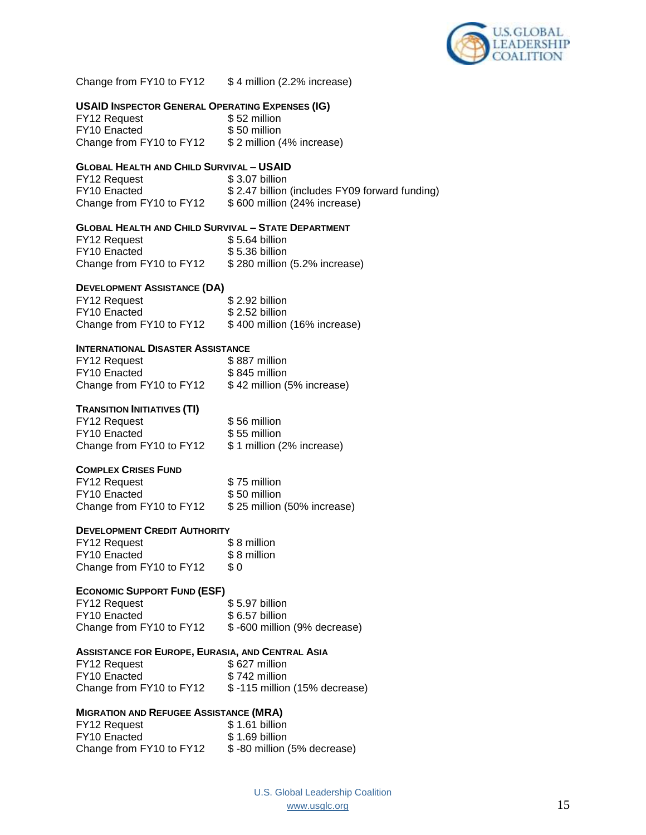

Change from FY10 to FY12 \$4 million (2.2% increase)

### **USAID INSPECTOR GENERAL OPERATING EXPENSES (IG)**

FY12 Request \$52 million FY10 Enacted \$ 50 million Change from FY10 to FY12 \$ 2 million (4% increase)

#### **GLOBAL HEALTH AND CHILD SURVIVAL – USAID**

| FY12 Request             | \$3.07 billion                                 |
|--------------------------|------------------------------------------------|
| FY10 Enacted             | \$2.47 billion (includes FY09 forward funding) |
| Change from FY10 to FY12 | \$600 million (24% increase)                   |

### **GLOBAL HEALTH AND CHILD SURVIVAL – STATE DEPARTMENT**

| FY12 Request             | \$5.64 billion                |
|--------------------------|-------------------------------|
| <b>FY10</b> Enacted      | $$5.36$ billion               |
| Change from FY10 to FY12 | \$280 million (5.2% increase) |

#### **DEVELOPMENT ASSISTANCE (DA)**

| FY12 Request             | \$2.92 billion               |
|--------------------------|------------------------------|
| FY10 Enacted             | $$2.52$ billion              |
| Change from FY10 to FY12 | \$400 million (16% increase) |

### **INTERNATIONAL DISASTER ASSISTANCE**

| <b>FY12 Request</b>      | \$887 million              |
|--------------------------|----------------------------|
| FY10 Enacted             | \$845 million              |
| Change from FY10 to FY12 | \$42 million (5% increase) |

#### **TRANSITION INITIATIVES (TI)**

| <b>FY12 Request</b>      | \$56 million               |
|--------------------------|----------------------------|
| FY10 Enacted             | \$55 million               |
| Change from FY10 to FY12 | \$ 1 million (2% increase) |

### **COMPLEX CRISES FUND**

| FY12 Request             | \$75 million                |
|--------------------------|-----------------------------|
| <b>FY10 Enacted</b>      | \$50 million                |
| Change from FY10 to FY12 | \$25 million (50% increase) |

#### **DEVELOPMENT CREDIT AUTHORITY**

| FY12 Request             | \$8 million |
|--------------------------|-------------|
| <b>FY10 Enacted</b>      | \$8 million |
| Change from FY10 to FY12 | \$ 0        |

### **ECONOMIC SUPPORT FUND (ESF)**

| FY12 Request             | \$5.97 billion               |
|--------------------------|------------------------------|
| FY10 Enacted             | $$6.57$ billion              |
| Change from FY10 to FY12 | \$-600 million (9% decrease) |

#### **ASSISTANCE FOR EUROPE, EURASIA, AND CENTRAL ASIA**

| FY12 Request             | \$627 million                 |
|--------------------------|-------------------------------|
| FY10 Enacted             | \$742 million                 |
| Change from FY10 to FY12 | \$-115 million (15% decrease) |

### **MIGRATION AND REFUGEE ASSISTANCE (MRA)**

| <b>FY12 Request</b>      | \$1.61 billion              |
|--------------------------|-----------------------------|
| FY10 Enacted             | \$1.69 billion              |
| Change from FY10 to FY12 | \$-80 million (5% decrease) |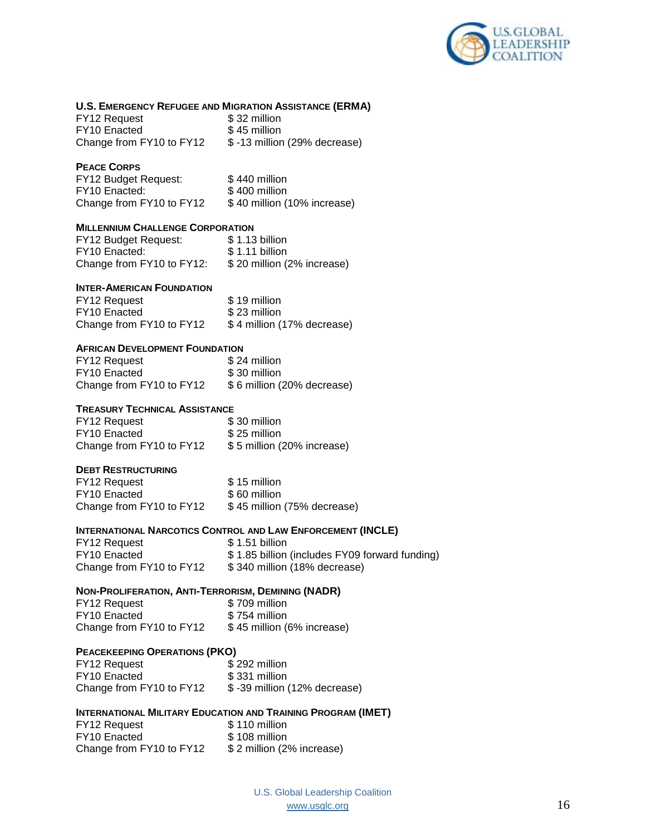

### **U.S. EMERGENCY REFUGEE AND MIGRATION ASSISTANCE (ERMA)**

| <b>FY12 Request</b>      | \$32 million                 |
|--------------------------|------------------------------|
| <b>FY10 Enacted</b>      | \$45 million                 |
| Change from FY10 to FY12 | \$-13 million (29% decrease) |

#### **PEACE CORPS**

| <b>FY12 Budget Request:</b> | \$440 million               |
|-----------------------------|-----------------------------|
| FY10 Enacted:               | \$400 million               |
| Change from FY10 to FY12    | \$40 million (10% increase) |

### **MILLENNIUM CHALLENGE CORPORATION**

| <b>FY12 Budget Request:</b> | \$1.13 billion             |
|-----------------------------|----------------------------|
| FY10 Enacted:               | \$1.11 billion             |
| Change from FY10 to FY12:   | \$20 million (2% increase) |

#### **INTER-AMERICAN FOUNDATION**

| FY12 Request             | \$19 million               |
|--------------------------|----------------------------|
| FY10 Enacted             | \$23 million               |
| Change from FY10 to FY12 | \$4 million (17% decrease) |

### **AFRICAN DEVELOPMENT FOUNDATION**

| FY12 Request             | \$24 million               |
|--------------------------|----------------------------|
| <b>FY10 Enacted</b>      | \$30 million               |
| Change from FY10 to FY12 | \$6 million (20% decrease) |

#### **TREASURY TECHNICAL ASSISTANCE**

| FY12 Request             | \$30 million               |
|--------------------------|----------------------------|
| FY10 Enacted             | \$25 million               |
| Change from FY10 to FY12 | \$5 million (20% increase) |

### **DEBT RESTRUCTURING**

| <b>FY12 Request</b>      | \$15 million                |
|--------------------------|-----------------------------|
| <b>FY10 Enacted</b>      | \$60 million                |
| Change from FY10 to FY12 | \$45 million (75% decrease) |

### **INTERNATIONAL NARCOTICS CONTROL AND LAW ENFORCEMENT (INCLE)**

| <b>FY12 Request</b>      | \$1.51 billion                                 |
|--------------------------|------------------------------------------------|
| FY10 Enacted             | \$1.85 billion (includes FY09 forward funding) |
| Change from FY10 to FY12 | \$340 million (18% decrease)                   |

### **NON-PROLIFERATION, ANTI-TERRORISM, DEMINING (NADR)**

| FY12 Request             | \$709 million              |
|--------------------------|----------------------------|
| FY10 Enacted             | \$754 million              |
| Change from FY10 to FY12 | \$45 million (6% increase) |

### **PEACEKEEPING OPERATIONS (PKO)**

| <b>FY12 Request</b>      | \$292 million                |
|--------------------------|------------------------------|
| <b>FY10</b> Enacted      | \$331 million                |
| Change from FY10 to FY12 | \$-39 million (12% decrease) |

### **INTERNATIONAL MILITARY EDUCATION AND TRAINING PROGRAM (IMET)**

| FY12 Request             | \$110 million             |
|--------------------------|---------------------------|
| FY10 Enacted             | \$108 million             |
| Change from FY10 to FY12 | \$2 million (2% increase) |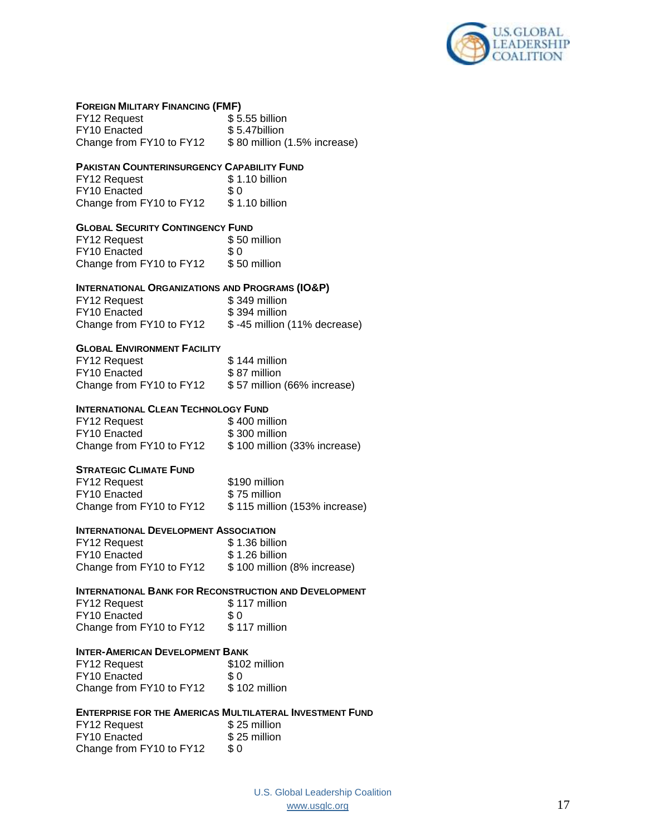

#### **FOREIGN MILITARY FINANCING (FMF)**

| FY12 Request             | \$5.55 billion               |
|--------------------------|------------------------------|
| FY10 Enacted             | \$5.47billion                |
| Change from FY10 to FY12 | \$80 million (1.5% increase) |

#### **PAKISTAN COUNTERINSURGENCY CAPABILITY FUND**

| FY12 Request             | \$1.10 billion |
|--------------------------|----------------|
| <b>FY10 Enacted</b>      | \$0            |
| Change from FY10 to FY12 | \$1.10 billion |

### **GLOBAL SECURITY CONTINGENCY FUND**

| FY12 Request             | \$50 million |
|--------------------------|--------------|
| FY <sub>10</sub> Enacted | \$ 0         |
| Change from FY10 to FY12 | \$50 million |

#### **INTERNATIONAL ORGANIZATIONS AND PROGRAMS (IO&P)**

| FY12 Request             | \$349 million                |
|--------------------------|------------------------------|
| <b>FY10</b> Enacted      | \$394 million                |
| Change from FY10 to FY12 | \$-45 million (11% decrease) |

#### **GLOBAL ENVIRONMENT FACILITY**

| FY12 Request             | \$144 million               |
|--------------------------|-----------------------------|
| <b>FY10 Enacted</b>      | \$87 million                |
| Change from FY10 to FY12 | \$57 million (66% increase) |

#### **INTERNATIONAL CLEAN TECHNOLOGY FUND**

| FY12 Request             | \$400 million                |
|--------------------------|------------------------------|
| FY10 Enacted             | \$300 million                |
| Change from FY10 to FY12 | \$100 million (33% increase) |

#### **STRATEGIC CLIMATE FUND**

| <b>FY12 Request</b>      | \$190 million                 |
|--------------------------|-------------------------------|
| <b>FY10</b> Enacted      | \$75 million                  |
| Change from FY10 to FY12 | \$115 million (153% increase) |

#### **INTERNATIONAL DEVELOPMENT ASSOCIATION**

| FY12 Request             | \$1.36 billion              |
|--------------------------|-----------------------------|
| FY10 Enacted             | $$1.26$ billion             |
| Change from FY10 to FY12 | \$100 million (8% increase) |

### **INTERNATIONAL BANK FOR RECONSTRUCTION AND DEVELOPMENT**

| FY12 Request             | \$117 million |
|--------------------------|---------------|
| FY10 Enacted             | -S O          |
| Change from FY10 to FY12 | \$117 million |

#### **INTER-AMERICAN DEVELOPMENT BANK**

| FY12 Request             | \$102 million |
|--------------------------|---------------|
| <b>FY10 Enacted</b>      | \$ 0          |
| Change from FY10 to FY12 | \$102 million |

### **ENTERPRISE FOR THE AMERICAS MULTILATERAL INVESTMENT FUND**

| FY12 Request             | \$25 million |
|--------------------------|--------------|
| FY10 Enacted             | \$25 million |
| Change from FY10 to FY12 | \$0          |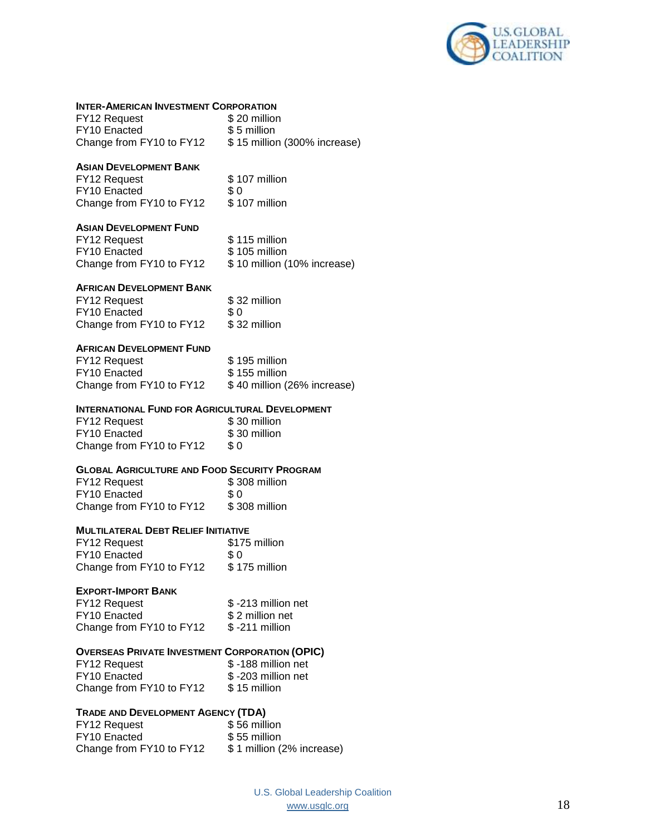

| <b>INTER-AMERICAN INVESTMENT CORPORATION</b><br>FY12 Request<br>FY10 Enacted                                      | \$20 million<br>\$5 million                                   |
|-------------------------------------------------------------------------------------------------------------------|---------------------------------------------------------------|
| Change from FY10 to FY12                                                                                          | \$15 million (300% increase)                                  |
| <b>ASIAN DEVELOPMENT BANK</b><br>FY12 Request<br>FY10 Enacted<br>Change from FY10 to FY12                         | \$107 million<br>\$0<br>\$107 million                         |
| ASIAN DEVELOPMENT FUND<br>FY12 Request<br>FY10 Enacted<br>Change from FY10 to FY12                                | \$115 million<br>\$105 million<br>\$10 million (10% increase) |
| <b>AFRICAN DEVELOPMENT BANK</b><br>FY12 Request<br>FY10 Enacted<br>Change from FY10 to FY12                       | \$32 million<br>\$0<br>\$32 million                           |
| <b>AFRICAN DEVELOPMENT FUND</b><br>FY12 Request<br>FY10 Enacted<br>Change from FY10 to FY12                       | \$195 million<br>\$155 million<br>\$40 million (26% increase) |
| INTERNATIONAL FUND FOR AGRICULTURAL DEVELOPMENT<br>FY12 Request<br>FY10 Enacted<br>Change from FY10 to FY12       | \$30 million<br>\$30 million<br>\$0                           |
| <b>GLOBAL AGRICULTURE AND FOOD SECURITY PROGRAM</b><br>FY12 Request<br>FY10 Enacted<br>Change from FY10 to FY12   | \$308 million<br>\$0<br>\$308 million                         |
| <b>MULTILATERAL DEBT RELIEF INITIATIVE</b><br>FY12 Request<br>FY10 Enacted<br>Change from FY10 to FY12            | \$175 million<br>\$0<br>\$175 million                         |
| <b>EXPORT-IMPORT BANK</b><br>FY12 Request<br>FY10 Enacted<br>Change from FY10 to FY12                             | \$-213 million net<br>\$2 million net<br>\$-211 million       |
| <b>OVERSEAS PRIVATE INVESTMENT CORPORATION (OPIC)</b><br>FY12 Request<br>FY10 Enacted<br>Change from FY10 to FY12 | \$-188 million net<br>\$-203 million net<br>\$15 million      |
| TRADE AND DEVELOPMENT AGENCY (TDA)<br>FY12 Request<br>FY10 Enacted<br>Change from FY10 to FY12                    | \$56 million<br>\$55 million<br>\$1 million (2% increase)     |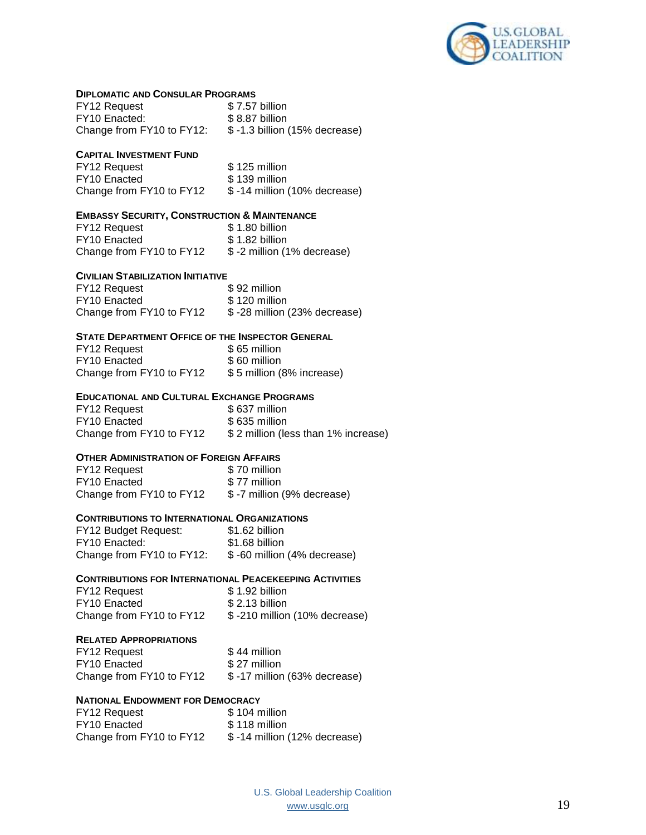

#### **DIPLOMATIC AND CONSULAR PROGRAMS**

| <b>FY12 Request</b>       | \$7.57 billion                  |
|---------------------------|---------------------------------|
| FY10 Enacted:             | \$8.87 billion                  |
| Change from FY10 to FY12: | $$ -1.3$ billion (15% decrease) |

#### **CAPITAL INVESTMENT FUND**

FY12 Request \$ 125 million FY10 Enacted \$139 million<br>Change from FY10 to FY12 \$-14 million (10% decrease) Change from FY10 to FY12

### **EMBASSY SECURITY, CONSTRUCTION & MAINTENANCE**

| <b>FY12 Request</b>      | \$1.80 billion             |
|--------------------------|----------------------------|
| <b>FY10 Enacted</b>      | \$1.82 billion             |
| Change from FY10 to FY12 | \$-2 million (1% decrease) |

#### **CIVILIAN STABILIZATION INITIATIVE**

| FY12 Request             | \$92 million                  |
|--------------------------|-------------------------------|
| FY10 Enacted             | \$120 million                 |
| Change from FY10 to FY12 | \$ -28 million (23% decrease) |

### **STATE DEPARTMENT OFFICE OF THE INSPECTOR GENERAL**

| <b>FY12 Request</b>      | \$65 million              |
|--------------------------|---------------------------|
| <b>FY10</b> Enacted      | \$60 million              |
| Change from FY10 to FY12 | \$5 million (8% increase) |

#### **EDUCATIONAL AND CULTURAL EXCHANGE PROGRAMS**

FY12 Request \$637 million FY10 Enacted \$635 million Change from FY10 to FY12 \$ 2 million (less than 1% increase)

### **OTHER ADMINISTRATION OF FOREIGN AFFAIRS**

| FY12 Request             | \$70 million               |
|--------------------------|----------------------------|
| FY10 Enacted             | \$77 million               |
| Change from FY10 to FY12 | \$-7 million (9% decrease) |

#### **CONTRIBUTIONS TO INTERNATIONAL ORGANIZATIONS**

| FY12 Budget Request:      | \$1.62 billion               |
|---------------------------|------------------------------|
| FY10 Enacted:             | \$1.68 billion               |
| Change from FY10 to FY12: | \$ -60 million (4% decrease) |

### **CONTRIBUTIONS FOR INTERNATIONAL PEACEKEEPING ACTIVITIES**

| FY12 Request             | \$1.92 billion                |
|--------------------------|-------------------------------|
| FY <sub>10</sub> Enacted | \$2.13 billion                |
| Change from FY10 to FY12 | \$-210 million (10% decrease) |

#### **RELATED APPROPRIATIONS**

| FY12 Request             | \$44 million                 |
|--------------------------|------------------------------|
| FY10 Enacted             | \$27 million                 |
| Change from FY10 to FY12 | \$-17 million (63% decrease) |

### **NATIONAL ENDOWMENT FOR DEMOCRACY**

| FY12 Request             | \$104 million                 |
|--------------------------|-------------------------------|
| FY <sub>10</sub> Enacted | \$118 million                 |
| Change from FY10 to FY12 | \$ -14 million (12% decrease) |